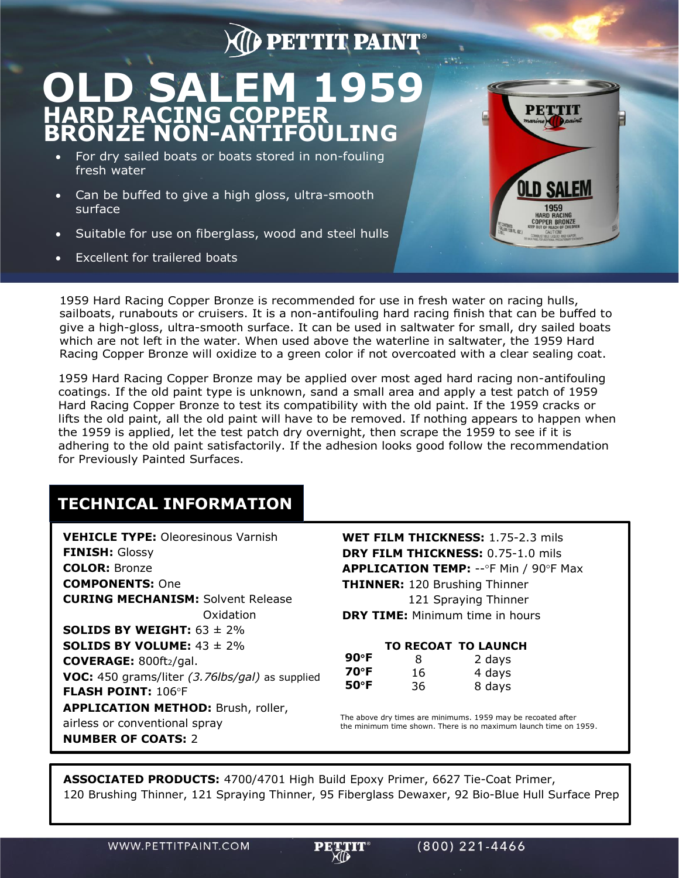## **PETTIT PAINT**

## **OLD SALEM 1959 HARD RACING COPPER BRONZE NON-ANTIFOULING**

- For dry sailed boats or boats stored in non-fouling fresh water
- Can be buffed to give a high gloss, ultra-smooth surface
- Suitable for use on fiberglass, wood and steel hulls
- Excellent for trailered boats



1959 Hard Racing Copper Bronze is recommended for use in fresh water on racing hulls, sailboats, runabouts or cruisers. It is a non-antifouling hard racing finish that can be buffed to give a high-gloss, ultra-smooth surface. It can be used in saltwater for small, dry sailed boats which are not left in the water. When used above the waterline in saltwater, the 1959 Hard Racing Copper Bronze will oxidize to a green color if not overcoated with a clear sealing coat.

1959 Hard Racing Copper Bronze may be applied over most aged hard racing non-antifouling coatings. If the old paint type is unknown, sand a small area and apply a test patch of 1959 Hard Racing Copper Bronze to test its compatibility with the old paint. If the 1959 cracks or lifts the old paint, all the old paint will have to be removed. If nothing appears to happen when the 1959 is applied, let the test patch dry overnight, then scrape the 1959 to see if it is adhering to the old paint satisfactorily. If the adhesion looks good follow the recommendation for Previously Painted Surfaces.

## **TECHNICAL INFORMATION**

**VEHICLE TYPE:** Oleoresinous Varnish **FINISH:** Glossy **COLOR:** Bronze **COMPONENTS:** One **CURING MECHANISM:** Solvent Release Oxidation **SOLIDS BY WEIGHT:** 63 ± 2% **SOLIDS BY VOLUME:** 43 ± 2% **COVERAGE:** 800ft2/gal. **VOC:** 450 grams/liter *(3.76lbs/gal)* as supplied **FLASH POINT: 106°F APPLICATION METHOD:** Brush, roller, airless or conventional spray **NUMBER OF COATS:** 2

**WET FILM THICKNESS:** 1.75-2.3 mils **DRY FILM THICKNESS:** 0.75-1.0 mils **APPLICATION TEMP: -- °F Min / 90°F Max THINNER:** 120 Brushing Thinner 121 Spraying Thinner **DRY TIME:** Minimum time in hours

|                |    | <b>TO RECOAT TO LAUNCH</b> |
|----------------|----|----------------------------|
| $90^{\circ}$ F | 8  | 2 days                     |
| 70°F           | 16 | 4 days                     |
| $50^{\circ}$ F | 36 | 8 days                     |

The above dry times are minimums. 1959 may be recoated after the minimum time shown. There is no maximum launch time on 1959.

**ASSOCIATED PRODUCTS:** 4700/4701 High Build Epoxy Primer, 6627 Tie-Coat Primer, 120 Brushing Thinner, 121 Spraying Thinner, 95 Fiberglass Dewaxer, 92 Bio-Blue Hull Surface Prep